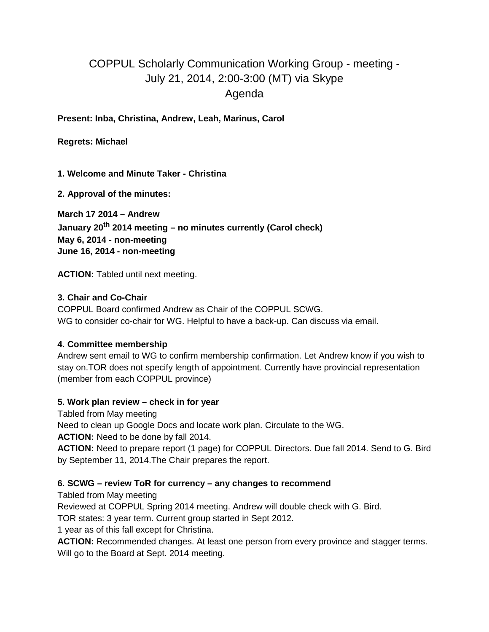# COPPUL Scholarly Communication Working Group - meeting - July 21, 2014, 2:00-3:00 (MT) via Skype Agenda

**Present: Inba, Christina, Andrew, Leah, Marinus, Carol**

**Regrets: Michael**

**1. Welcome and Minute Taker - Christina**

**2. Approval of the minutes:**

**March 17 2014 – Andrew January 20th 2014 meeting – no minutes currently (Carol check) May 6, 2014 - non-meeting June 16, 2014 - non-meeting**

**ACTION:** Tabled until next meeting.

#### **3. Chair and Co-Chair**

COPPUL Board confirmed Andrew as Chair of the COPPUL SCWG. WG to consider co-chair for WG. Helpful to have a back-up. Can discuss via email.

# **4. Committee membership**

Andrew sent email to WG to confirm membership confirmation. Let Andrew know if you wish to stay on.TOR does not specify length of appointment. Currently have provincial representation (member from each COPPUL province)

#### **5. Work plan review – check in for year**

Tabled from May meeting

Need to clean up Google Docs and locate work plan. Circulate to the WG.

**ACTION:** Need to be done by fall 2014.

**ACTION:** Need to prepare report (1 page) for COPPUL Directors. Due fall 2014. Send to G. Bird by September 11, 2014.The Chair prepares the report.

#### **6. SCWG – review ToR for currency – any changes to recommend**

Tabled from May meeting

Reviewed at COPPUL Spring 2014 meeting. Andrew will double check with G. Bird.

TOR states: 3 year term. Current group started in Sept 2012.

1 year as of this fall except for Christina.

**ACTION:** Recommended changes. At least one person from every province and stagger terms. Will go to the Board at Sept. 2014 meeting.